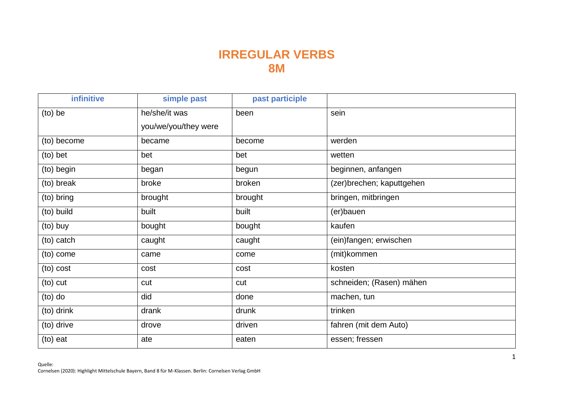## **IRREGULAR VERBS 8M**

| <b>infinitive</b> | simple past          | past participle |                           |
|-------------------|----------------------|-----------------|---------------------------|
| $(to)$ be         | he/she/it was        | been            | sein                      |
|                   | you/we/you/they were |                 |                           |
| (to) become       | became               | become          | werden                    |
| (to) bet          | bet                  | bet             | wetten                    |
| (to) begin        | began                | begun           | beginnen, anfangen        |
| (to) break        | broke                | broken          | (zer)brechen; kaputtgehen |
| (to) bring        | brought              | brought         | bringen, mitbringen       |
| (to) build        | built                | built           | (er)bauen                 |
| (to) buy          | bought               | bought          | kaufen                    |
| (to) catch        | caught               | caught          | (ein)fangen; erwischen    |
| (to) come         | came                 | come            | (mit)kommen               |
| (to) cost         | cost                 | cost            | kosten                    |
| (to) cut          | cut                  | cut             | schneiden; (Rasen) mähen  |
| $(to)$ do         | did                  | done            | machen, tun               |
| (to) drink        | drank                | drunk           | trinken                   |
| (to) drive        | drove                | driven          | fahren (mit dem Auto)     |
| (to) eat          | ate                  | eaten           | essen; fressen            |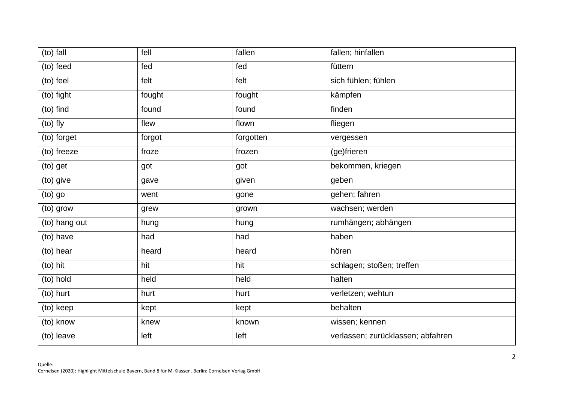| $(to)$ fall   | fell   | fallen    | fallen; hinfallen                 |
|---------------|--------|-----------|-----------------------------------|
| (to) feed     | fed    | fed       | füttern                           |
| (to) feel     | felt   | felt      | sich fühlen; fühlen               |
| (to) fight    | fought | fought    | kämpfen                           |
| (to) find     | found  | found     | finden                            |
| (to) fly      | flew   | flown     | fliegen                           |
| (to) forget   | forgot | forgotten | vergessen                         |
| (to) freeze   | froze  | frozen    | (ge)frieren                       |
| (to) get      | got    | got       | bekommen, kriegen                 |
| (to) give     | gave   | given     | geben                             |
| (to) go       | went   | gone      | gehen; fahren                     |
| (to) grow     | grew   | grown     | wachsen; werden                   |
| (to) hang out | hung   | hung      | rumhängen; abhängen               |
| (to) have     | had    | had       | haben                             |
| (to) hear     | heard  | heard     | hören                             |
| (to) hit      | hit    | hit       | schlagen; stoßen; treffen         |
| (to) hold     | held   | held      | halten                            |
| (to) hurt     | hurt   | hurt      | verletzen; wehtun                 |
| (to) keep     | kept   | kept      | behalten                          |
| (to) know     | knew   | known     | wissen; kennen                    |
| (to) leave    | left   | left      | verlassen; zurücklassen; abfahren |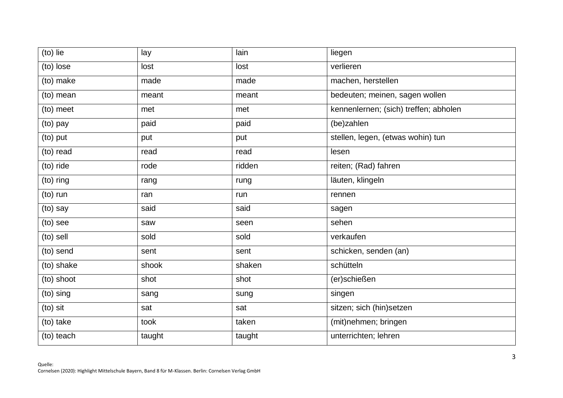| (to) lie   | lay    | lain   | liegen                                |
|------------|--------|--------|---------------------------------------|
| (to) lose  | lost   | lost   | verlieren                             |
| (to) make  | made   | made   | machen, herstellen                    |
| (to) mean  | meant  | meant  | bedeuten; meinen, sagen wollen        |
| (to) meet  | met    | met    | kennenlernen; (sich) treffen; abholen |
| (to) pay   | paid   | paid   | (be)zahlen                            |
| (to) put   | put    | put    | stellen, legen, (etwas wohin) tun     |
| (to) read  | read   | read   | lesen                                 |
| (to) ride  | rode   | ridden | reiten; (Rad) fahren                  |
| (to) ring  | rang   | rung   | läuten, klingeln                      |
| (to) run   | ran    | run    | rennen                                |
| (to) say   | said   | said   | sagen                                 |
| (to) see   | saw    | seen   | sehen                                 |
| (to) sell  | sold   | sold   | verkaufen                             |
| (to) send  | sent   | sent   | schicken, senden (an)                 |
| (to) shake | shook  | shaken | schütteln                             |
| (to) shoot | shot   | shot   | (er)schießen                          |
| (to) sing  | sang   | sung   | singen                                |
| $(to)$ sit | sat    | sat    | sitzen; sich (hin)setzen              |
| (to) take  | took   | taken  | (mit)nehmen; bringen                  |
| (to) teach | taught | taught | unterrichten; lehren                  |